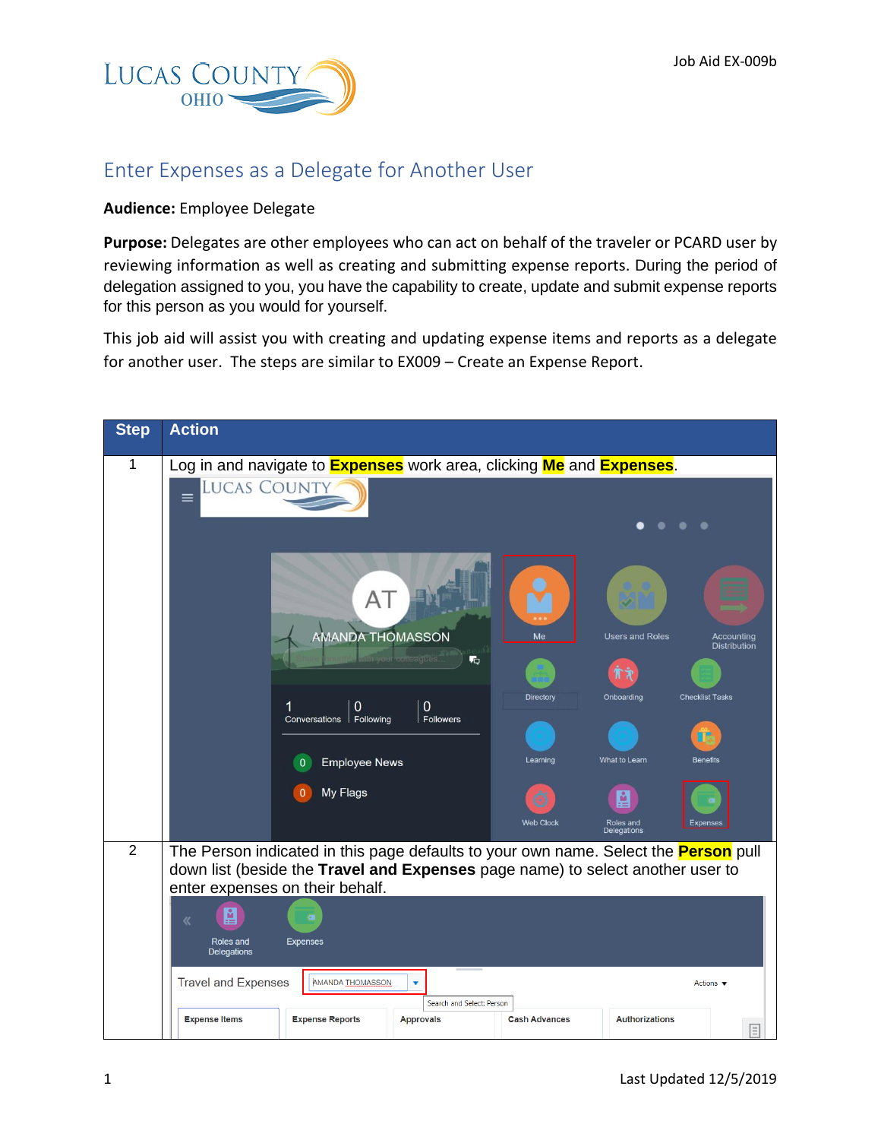

## Enter Expenses as a Delegate for Another User

## **Audience:** Employee Delegate

**Purpose:** Delegates are other employees who can act on behalf of the traveler or PCARD user by reviewing information as well as creating and submitting expense reports. During the period of delegation assigned to you, you have the capability to create, update and submit expense reports for this person as you would for yourself.

This job aid will assist you with creating and updating expense items and reports as a delegate for another user. The steps are similar to EX009 – Create an Expense Report.

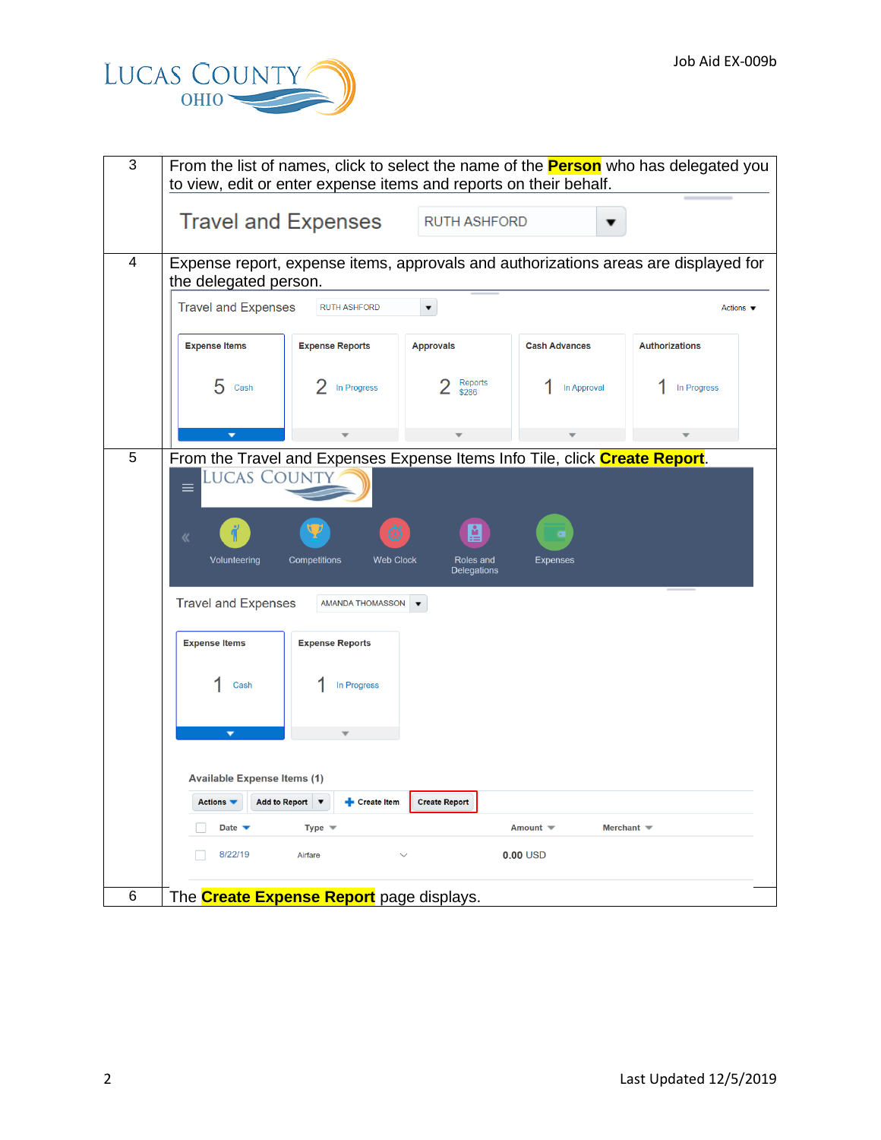

| 3              | to view, edit or enter expense items and reports on their behalf.                                                                                               |                                                                  |                                      |                                   | From the list of names, click to select the name of the <b>Person</b> who has delegated you |
|----------------|-----------------------------------------------------------------------------------------------------------------------------------------------------------------|------------------------------------------------------------------|--------------------------------------|-----------------------------------|---------------------------------------------------------------------------------------------|
|                | <b>Travel and Expenses</b>                                                                                                                                      |                                                                  | <b>RUTH ASHFORD</b>                  |                                   |                                                                                             |
| $\overline{4}$ | the delegated person.                                                                                                                                           |                                                                  |                                      |                                   | Expense report, expense items, approvals and authorizations areas are displayed for         |
|                | <b>Travel and Expenses</b>                                                                                                                                      | <b>RUTH ASHFORD</b>                                              |                                      |                                   | Actions $\blacktriangledown$                                                                |
|                | <b>Expense Items</b>                                                                                                                                            | <b>Expense Reports</b>                                           | <b>Approvals</b>                     | <b>Cash Advances</b>              | <b>Authorizations</b>                                                                       |
|                | 5<br>Cash                                                                                                                                                       | In Progress                                                      | Reports<br>\$286                     | In Approval                       | In Progress                                                                                 |
|                | $\overline{\phantom{a}}$                                                                                                                                        |                                                                  |                                      |                                   |                                                                                             |
| 5              | From the Travel and Expenses Expense Items Info Tile, click Create Report.<br><b>LUCAS COUNT</b><br>$\equiv$<br>《<br>Volunteering<br><b>Travel and Expenses</b> | Ö<br><b>Competitions</b><br><b>Web Clock</b><br>AMANDA THOMASSON | A<br>Roles and<br><b>Delegations</b> | $\overline{c}$<br><b>Expenses</b> |                                                                                             |
|                | <b>Expense Items</b>                                                                                                                                            | <b>Expense Reports</b>                                           |                                      |                                   |                                                                                             |
|                | Cash                                                                                                                                                            | In Progress                                                      |                                      |                                   |                                                                                             |
|                | ۰                                                                                                                                                               |                                                                  |                                      |                                   |                                                                                             |
|                | <b>Available Expense Items (1)</b>                                                                                                                              |                                                                  |                                      |                                   |                                                                                             |
|                | Actions $\blacktriangledown$<br>Date $\blacktriangledown$                                                                                                       | Add to Report ▼<br><b>Create Item</b><br>Type $\equiv$           | <b>Create Report</b>                 | Amount $\equiv$                   | Merchant $\blacktriangledown$                                                               |
|                | 8/22/19                                                                                                                                                         | Airfare                                                          | $\checkmark$                         | $0.00$ USD                        |                                                                                             |
| 6              |                                                                                                                                                                 | The <b>Create Expense Report</b> page displays.                  |                                      |                                   |                                                                                             |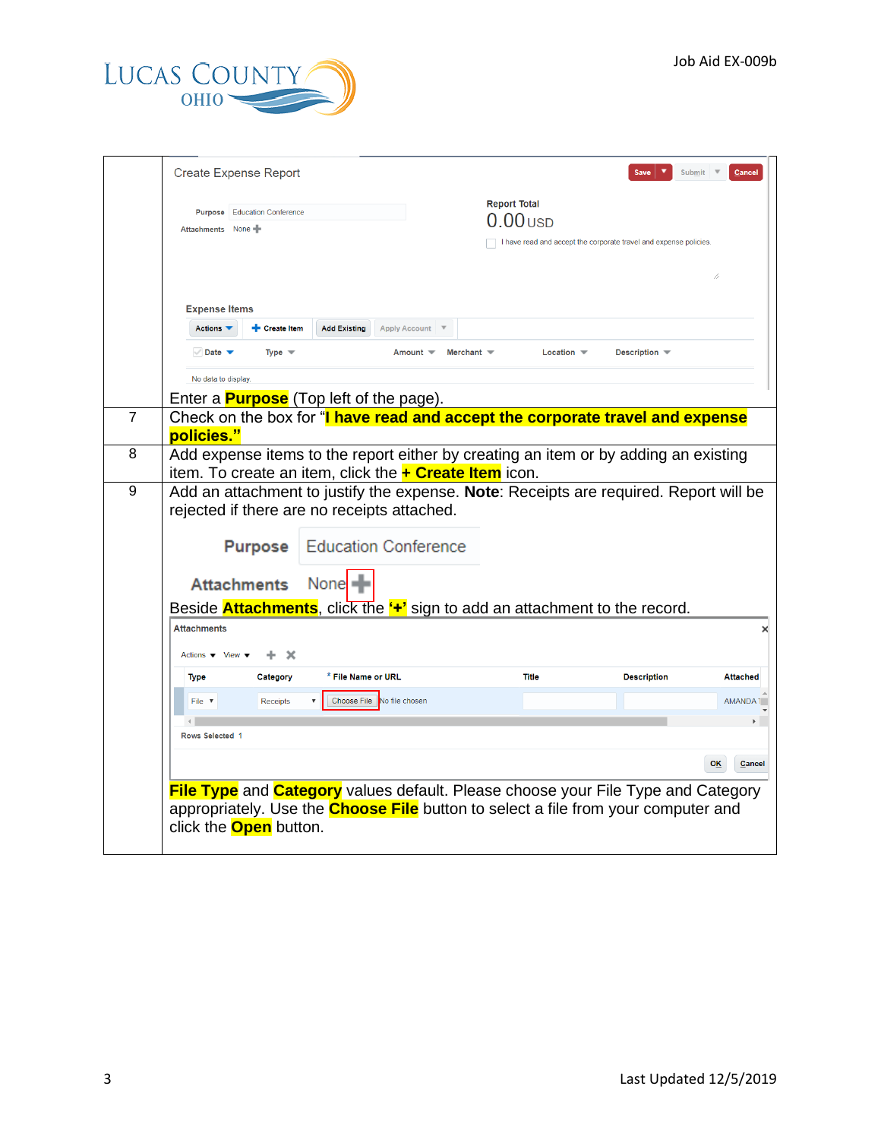

|                |                                                        | <b>Create Expense Report</b>                   |                     |                                                               |                     |                               | Save                                                                                            | Submit<br>Cancel    |
|----------------|--------------------------------------------------------|------------------------------------------------|---------------------|---------------------------------------------------------------|---------------------|-------------------------------|-------------------------------------------------------------------------------------------------|---------------------|
|                |                                                        |                                                |                     |                                                               |                     |                               |                                                                                                 |                     |
|                |                                                        | <b>Purpose</b> Education Conference            |                     |                                                               | <b>Report Total</b> |                               |                                                                                                 |                     |
|                | Attachments None                                       |                                                |                     |                                                               |                     | $0.00$ usp                    |                                                                                                 |                     |
|                |                                                        |                                                |                     |                                                               |                     |                               | I have read and accept the corporate travel and expense policies.                               |                     |
|                |                                                        |                                                |                     |                                                               |                     |                               |                                                                                                 |                     |
|                |                                                        |                                                |                     |                                                               |                     |                               |                                                                                                 |                     |
|                | <b>Expense Items</b>                                   |                                                |                     |                                                               |                     |                               |                                                                                                 |                     |
|                | Actions $\blacktriangledown$                           | Create Item                                    | <b>Add Existing</b> | <b>Apply Account</b>                                          |                     |                               |                                                                                                 |                     |
|                | $\vee$ Date $\blacktriangledown$                       | Type $\equiv$                                  |                     | Amount $\blacktriangledown$                                   | Merchant $\equiv$   | Location $\blacktriangledown$ | Description $\blacksquare$                                                                      |                     |
|                | No data to display.                                    |                                                |                     |                                                               |                     |                               |                                                                                                 |                     |
|                |                                                        | Enter a <b>Purpose</b> (Top left of the page). |                     |                                                               |                     |                               |                                                                                                 |                     |
| $\overline{7}$ |                                                        |                                                |                     |                                                               |                     |                               | Check on the box for "I have read and accept the corporate travel and expense                   |                     |
|                | policies."                                             |                                                |                     |                                                               |                     |                               |                                                                                                 |                     |
| 8              |                                                        |                                                |                     |                                                               |                     |                               | Add expense items to the report either by creating an item or by adding an existing             |                     |
|                |                                                        |                                                |                     | item. To create an item, click the <b>+ Create Item</b> icon. |                     |                               |                                                                                                 |                     |
| 9              |                                                        |                                                |                     | rejected if there are no receipts attached.                   |                     |                               | Add an attachment to justify the expense. Note: Receipts are required. Report will be           |                     |
|                |                                                        |                                                |                     |                                                               |                     |                               |                                                                                                 |                     |
|                |                                                        | <b>Purpose</b>                                 |                     | <b>Education Conference</b>                                   |                     |                               |                                                                                                 |                     |
|                |                                                        | <b>Attachments</b>                             | None $\blacksquare$ |                                                               |                     |                               |                                                                                                 |                     |
|                |                                                        |                                                |                     |                                                               |                     |                               | Beside <b>Attachments</b> , click the " <sup>+</sup> " sign to add an attachment to the record. |                     |
|                | <b>Attachments</b>                                     |                                                |                     |                                                               |                     |                               |                                                                                                 | ×                   |
|                | Actions $\blacktriangledown$ View $\blacktriangledown$ | ÷.<br>$\mathbf x$                              |                     |                                                               |                     |                               |                                                                                                 |                     |
|                |                                                        |                                                | * File Name or URL  |                                                               |                     | <b>Title</b>                  | <b>Description</b>                                                                              | <b>Attached</b>     |
|                | <b>Type</b>                                            | Category                                       |                     |                                                               |                     |                               |                                                                                                 |                     |
|                | File $\sqrt{ }$                                        | <b>Receipts</b>                                | Choose File         | No file chosen                                                |                     |                               |                                                                                                 | AMANDA <sup>®</sup> |
|                | Rows Selected 1                                        |                                                |                     |                                                               |                     |                               |                                                                                                 |                     |
|                |                                                        |                                                |                     |                                                               |                     |                               |                                                                                                 |                     |
|                |                                                        |                                                |                     |                                                               |                     |                               |                                                                                                 | <b>OK</b><br>Cancel |
|                |                                                        |                                                |                     |                                                               |                     |                               | <b>File Type</b> and <b>Category</b> values default. Please choose your File Type and Category  |                     |
|                |                                                        |                                                |                     |                                                               |                     |                               | appropriately. Use the <b>Choose File</b> button to select a file from your computer and        |                     |
|                |                                                        | click the <b>Open</b> button.                  |                     |                                                               |                     |                               |                                                                                                 |                     |
|                |                                                        |                                                |                     |                                                               |                     |                               |                                                                                                 |                     |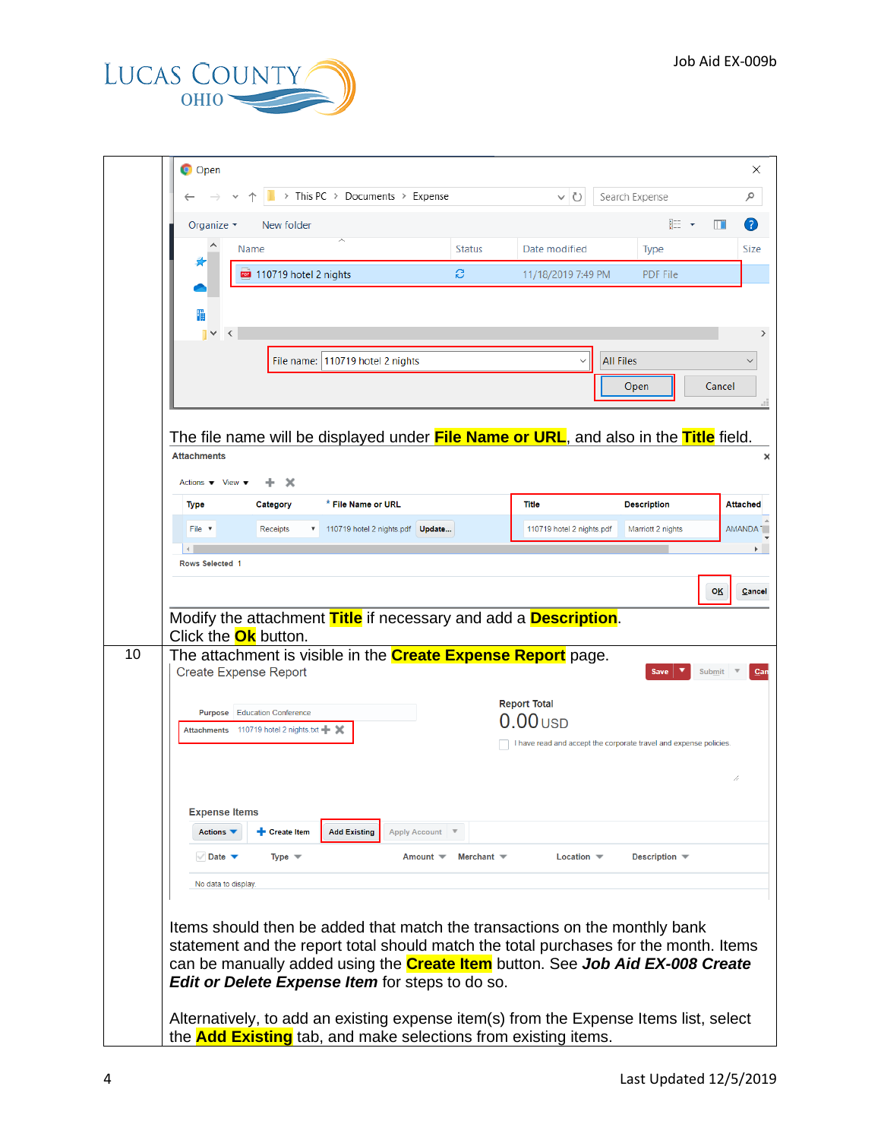

| <b>Status</b><br>Date modified<br><b>Type</b><br>Name<br>B<br>110719 hotel 2 nights<br>11/18/2019 7:49 PM<br><b>PDF File</b><br>H<br>$\prec$<br>File name:   110719 hotel 2 nights<br><b>All Files</b><br>Open<br>The file name will be displayed under <b>File Name or URL</b> , and also in the <b>Title</b> field.<br><b>Attachments</b><br>Actions $\blacktriangledown$ View $\blacktriangledown$<br>x<br>* File Name or URL<br><b>Title</b><br><b>Description</b><br><b>Type</b><br>Category<br>110719 hotel 2 nights.pdf  Update<br>110719 hotel 2 nights.pdf<br>File $\triangledown$<br>Receipts<br>Marriott 2 nights<br>Rows Selected 1<br>Modify the attachment Title if necessary and add a Description.<br>Click the <b>Ok</b> button.<br>The attachment is visible in the <b>Create Expense Report</b> page.<br><b>Create Expense Report</b><br><b>Save</b><br><b>Report Total</b><br><b>Education Conference</b><br>Purpose<br>$0.00$ usd<br>Attachments 110719 hotel 2 nights.txt - X<br><b>Expense Items</b><br>Actions ▼<br>+ Create Item<br><b>Add Existing</b><br><b>Apply Account</b><br>$\vee$ Date $\blacktriangledown$<br>Type $\blacktriangledown$<br>Merchant $\equiv$<br>Location $\blacktriangledown$<br>Description $\blacksquare$<br>Amount $\blacktriangledown$<br>No data to display. | I have read and accept the corporate travel and expense policies.<br>can be manually added using the <b>Create Item</b> button. See <b>Job Aid EX-008 Create</b><br><b>Edit or Delete Expense Item for steps to do so.</b> | Organize $\blacktriangledown$ | New folder |  | 鼯 ▼ | m                   |
|---------------------------------------------------------------------------------------------------------------------------------------------------------------------------------------------------------------------------------------------------------------------------------------------------------------------------------------------------------------------------------------------------------------------------------------------------------------------------------------------------------------------------------------------------------------------------------------------------------------------------------------------------------------------------------------------------------------------------------------------------------------------------------------------------------------------------------------------------------------------------------------------------------------------------------------------------------------------------------------------------------------------------------------------------------------------------------------------------------------------------------------------------------------------------------------------------------------------------------------------------------------------------------------------------------------------|----------------------------------------------------------------------------------------------------------------------------------------------------------------------------------------------------------------------------|-------------------------------|------------|--|-----|---------------------|
|                                                                                                                                                                                                                                                                                                                                                                                                                                                                                                                                                                                                                                                                                                                                                                                                                                                                                                                                                                                                                                                                                                                                                                                                                                                                                                                     |                                                                                                                                                                                                                            |                               |            |  |     |                     |
|                                                                                                                                                                                                                                                                                                                                                                                                                                                                                                                                                                                                                                                                                                                                                                                                                                                                                                                                                                                                                                                                                                                                                                                                                                                                                                                     |                                                                                                                                                                                                                            |                               |            |  |     |                     |
|                                                                                                                                                                                                                                                                                                                                                                                                                                                                                                                                                                                                                                                                                                                                                                                                                                                                                                                                                                                                                                                                                                                                                                                                                                                                                                                     |                                                                                                                                                                                                                            |                               |            |  |     |                     |
|                                                                                                                                                                                                                                                                                                                                                                                                                                                                                                                                                                                                                                                                                                                                                                                                                                                                                                                                                                                                                                                                                                                                                                                                                                                                                                                     |                                                                                                                                                                                                                            |                               |            |  |     |                     |
|                                                                                                                                                                                                                                                                                                                                                                                                                                                                                                                                                                                                                                                                                                                                                                                                                                                                                                                                                                                                                                                                                                                                                                                                                                                                                                                     |                                                                                                                                                                                                                            |                               |            |  |     |                     |
|                                                                                                                                                                                                                                                                                                                                                                                                                                                                                                                                                                                                                                                                                                                                                                                                                                                                                                                                                                                                                                                                                                                                                                                                                                                                                                                     |                                                                                                                                                                                                                            |                               |            |  |     |                     |
|                                                                                                                                                                                                                                                                                                                                                                                                                                                                                                                                                                                                                                                                                                                                                                                                                                                                                                                                                                                                                                                                                                                                                                                                                                                                                                                     |                                                                                                                                                                                                                            |                               |            |  |     | Cancel              |
|                                                                                                                                                                                                                                                                                                                                                                                                                                                                                                                                                                                                                                                                                                                                                                                                                                                                                                                                                                                                                                                                                                                                                                                                                                                                                                                     |                                                                                                                                                                                                                            |                               |            |  |     |                     |
|                                                                                                                                                                                                                                                                                                                                                                                                                                                                                                                                                                                                                                                                                                                                                                                                                                                                                                                                                                                                                                                                                                                                                                                                                                                                                                                     |                                                                                                                                                                                                                            |                               |            |  |     |                     |
|                                                                                                                                                                                                                                                                                                                                                                                                                                                                                                                                                                                                                                                                                                                                                                                                                                                                                                                                                                                                                                                                                                                                                                                                                                                                                                                     |                                                                                                                                                                                                                            |                               |            |  |     |                     |
|                                                                                                                                                                                                                                                                                                                                                                                                                                                                                                                                                                                                                                                                                                                                                                                                                                                                                                                                                                                                                                                                                                                                                                                                                                                                                                                     |                                                                                                                                                                                                                            |                               |            |  |     |                     |
|                                                                                                                                                                                                                                                                                                                                                                                                                                                                                                                                                                                                                                                                                                                                                                                                                                                                                                                                                                                                                                                                                                                                                                                                                                                                                                                     |                                                                                                                                                                                                                            |                               |            |  |     |                     |
|                                                                                                                                                                                                                                                                                                                                                                                                                                                                                                                                                                                                                                                                                                                                                                                                                                                                                                                                                                                                                                                                                                                                                                                                                                                                                                                     |                                                                                                                                                                                                                            |                               |            |  |     |                     |
|                                                                                                                                                                                                                                                                                                                                                                                                                                                                                                                                                                                                                                                                                                                                                                                                                                                                                                                                                                                                                                                                                                                                                                                                                                                                                                                     |                                                                                                                                                                                                                            |                               |            |  |     |                     |
|                                                                                                                                                                                                                                                                                                                                                                                                                                                                                                                                                                                                                                                                                                                                                                                                                                                                                                                                                                                                                                                                                                                                                                                                                                                                                                                     |                                                                                                                                                                                                                            |                               |            |  |     |                     |
|                                                                                                                                                                                                                                                                                                                                                                                                                                                                                                                                                                                                                                                                                                                                                                                                                                                                                                                                                                                                                                                                                                                                                                                                                                                                                                                     |                                                                                                                                                                                                                            |                               |            |  |     |                     |
|                                                                                                                                                                                                                                                                                                                                                                                                                                                                                                                                                                                                                                                                                                                                                                                                                                                                                                                                                                                                                                                                                                                                                                                                                                                                                                                     |                                                                                                                                                                                                                            |                               |            |  |     |                     |
|                                                                                                                                                                                                                                                                                                                                                                                                                                                                                                                                                                                                                                                                                                                                                                                                                                                                                                                                                                                                                                                                                                                                                                                                                                                                                                                     |                                                                                                                                                                                                                            |                               |            |  |     |                     |
|                                                                                                                                                                                                                                                                                                                                                                                                                                                                                                                                                                                                                                                                                                                                                                                                                                                                                                                                                                                                                                                                                                                                                                                                                                                                                                                     |                                                                                                                                                                                                                            |                               |            |  |     |                     |
|                                                                                                                                                                                                                                                                                                                                                                                                                                                                                                                                                                                                                                                                                                                                                                                                                                                                                                                                                                                                                                                                                                                                                                                                                                                                                                                     |                                                                                                                                                                                                                            |                               |            |  |     |                     |
|                                                                                                                                                                                                                                                                                                                                                                                                                                                                                                                                                                                                                                                                                                                                                                                                                                                                                                                                                                                                                                                                                                                                                                                                                                                                                                                     |                                                                                                                                                                                                                            |                               |            |  |     |                     |
|                                                                                                                                                                                                                                                                                                                                                                                                                                                                                                                                                                                                                                                                                                                                                                                                                                                                                                                                                                                                                                                                                                                                                                                                                                                                                                                     |                                                                                                                                                                                                                            |                               |            |  |     |                     |
|                                                                                                                                                                                                                                                                                                                                                                                                                                                                                                                                                                                                                                                                                                                                                                                                                                                                                                                                                                                                                                                                                                                                                                                                                                                                                                                     |                                                                                                                                                                                                                            |                               |            |  |     |                     |
|                                                                                                                                                                                                                                                                                                                                                                                                                                                                                                                                                                                                                                                                                                                                                                                                                                                                                                                                                                                                                                                                                                                                                                                                                                                                                                                     |                                                                                                                                                                                                                            |                               |            |  |     |                     |
|                                                                                                                                                                                                                                                                                                                                                                                                                                                                                                                                                                                                                                                                                                                                                                                                                                                                                                                                                                                                                                                                                                                                                                                                                                                                                                                     |                                                                                                                                                                                                                            |                               |            |  |     |                     |
|                                                                                                                                                                                                                                                                                                                                                                                                                                                                                                                                                                                                                                                                                                                                                                                                                                                                                                                                                                                                                                                                                                                                                                                                                                                                                                                     |                                                                                                                                                                                                                            |                               |            |  |     | <b>OK</b><br>Submit |
|                                                                                                                                                                                                                                                                                                                                                                                                                                                                                                                                                                                                                                                                                                                                                                                                                                                                                                                                                                                                                                                                                                                                                                                                                                                                                                                     |                                                                                                                                                                                                                            |                               |            |  |     |                     |
|                                                                                                                                                                                                                                                                                                                                                                                                                                                                                                                                                                                                                                                                                                                                                                                                                                                                                                                                                                                                                                                                                                                                                                                                                                                                                                                     |                                                                                                                                                                                                                            |                               |            |  |     |                     |
|                                                                                                                                                                                                                                                                                                                                                                                                                                                                                                                                                                                                                                                                                                                                                                                                                                                                                                                                                                                                                                                                                                                                                                                                                                                                                                                     |                                                                                                                                                                                                                            |                               |            |  |     |                     |
|                                                                                                                                                                                                                                                                                                                                                                                                                                                                                                                                                                                                                                                                                                                                                                                                                                                                                                                                                                                                                                                                                                                                                                                                                                                                                                                     |                                                                                                                                                                                                                            |                               |            |  |     |                     |
|                                                                                                                                                                                                                                                                                                                                                                                                                                                                                                                                                                                                                                                                                                                                                                                                                                                                                                                                                                                                                                                                                                                                                                                                                                                                                                                     |                                                                                                                                                                                                                            |                               |            |  |     |                     |
|                                                                                                                                                                                                                                                                                                                                                                                                                                                                                                                                                                                                                                                                                                                                                                                                                                                                                                                                                                                                                                                                                                                                                                                                                                                                                                                     |                                                                                                                                                                                                                            |                               |            |  |     |                     |
|                                                                                                                                                                                                                                                                                                                                                                                                                                                                                                                                                                                                                                                                                                                                                                                                                                                                                                                                                                                                                                                                                                                                                                                                                                                                                                                     |                                                                                                                                                                                                                            |                               |            |  |     |                     |
| Items should then be added that match the transactions on the monthly bank                                                                                                                                                                                                                                                                                                                                                                                                                                                                                                                                                                                                                                                                                                                                                                                                                                                                                                                                                                                                                                                                                                                                                                                                                                          |                                                                                                                                                                                                                            |                               |            |  |     |                     |
| statement and the report total should match the total purchases for the month. Items                                                                                                                                                                                                                                                                                                                                                                                                                                                                                                                                                                                                                                                                                                                                                                                                                                                                                                                                                                                                                                                                                                                                                                                                                                |                                                                                                                                                                                                                            |                               |            |  |     |                     |